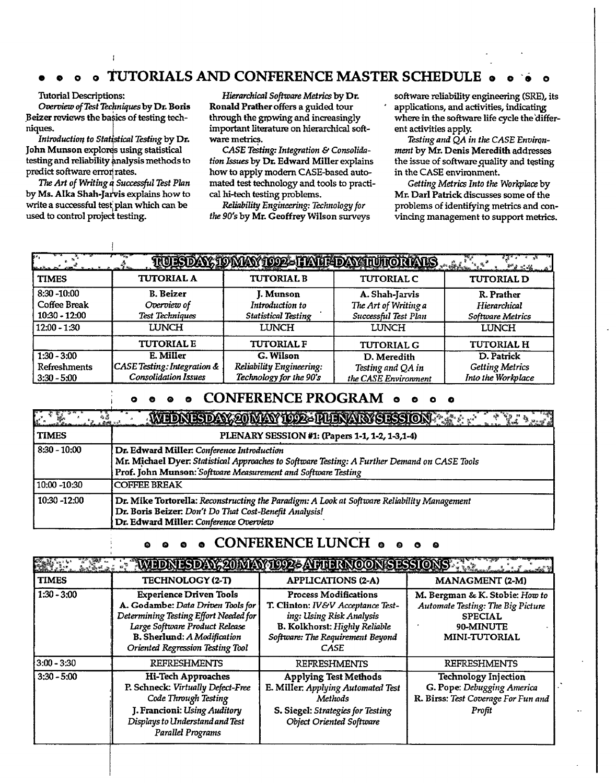## **•000 TUTORIALS AND CONFERENCE MASTER SCHEDULE o o o**

#### **Tutorial Descriptions:**

*Overview of Test Techniques* **by Dr. Boris**  Beizer reviews the basics of testing tech**niques.** i<sup>f</sup>

Introduction to Statistical Testing by Dr. John Munson explores using statistical testing and reliability analysis methods to **predict software error' rates.** 

*The Art of Writing u Successful Test Plan*  **by Ms. Alka Shah-Jaivis explains how to write a successful test** plan **which can be used to control project testing.** 

*Hierarchical Software Metrics* **by Dr. Ronald Prather offers a guided tour through the growing and increasingly important literature on hierarchical software** *metrics.* 

*CASE Testing: Integration & Consolidation Issues* **by Dr. Edward Miller explains how to apply modern CASE-based automated test technology and tools to practical hi-tech testing problems.** 

*Reliability Engineering: Technology for the 90's* **by Mr. Geoffrey Wilson surveys**  **software reliability engineering (SRE), its applications, and activities, indicating where in the software life cycle the 'different activities apply.** 

*Testing and QA in the CASE Environment* **by Mr. Denis Meredith addresses the issue of softwarequality and testing in the CASE environment.** 

*Getting Metrics Into the Workplace* **by Mr. Dail Patrick discusses some of the problems of identifying metrics and convincing management to support metrics.** 

| 84.                                                                      |                                                                                    |                                                                            | TULSDAY, IOMAY IOOZ-I IATHDAY INIIONATIS                                       | $M_{1}M_{2}$                                                   |
|--------------------------------------------------------------------------|------------------------------------------------------------------------------------|----------------------------------------------------------------------------|--------------------------------------------------------------------------------|----------------------------------------------------------------|
| <b>TIMES</b>                                                             | <b>TUTORIAL A</b>                                                                  | <b>TUTORIAL B</b>                                                          | <b>TUTORIAL C</b>                                                              | <b>TUTORIAL D</b>                                              |
| $8:30 - 10:00$<br><b>Coffee Break</b><br>10:30 - 12:00<br>$12:00 - 1:30$ | <b>B.</b> Beizer<br>Overview of<br><b>Test Techniques</b><br><b>LUNCH</b>          | J. Munson<br>Introduction to<br><b>Statistical Testing</b><br><b>LUNCH</b> | A. Shah-Jarvis<br>The Art of Writing a<br>Successful Test Plan<br><b>LUNCH</b> | R. Prather<br>Hierarchical<br>Software Metrics<br><b>LUNCH</b> |
|                                                                          | <b>TUTORIAL E</b>                                                                  | <b>TUTORIAL F</b>                                                          | <b>TUTORIAL G</b>                                                              | <b>TUTORIAL H</b>                                              |
| $1:30 - 3:00$<br>Refreshments<br>$3:30 - 5:00$                           | E. Miller<br><b>CASE Testing: Integration &amp;</b><br><b>Consolidation Issues</b> | G. Wilson<br>Reliability Engineering:<br>Technology for the 90's           | D. Meredith<br>Testing and QA in<br>the CASE Environment                       | D. Patrick<br><b>Getting Metrics</b><br>Into the Workplace     |

#### **CONFERENCE PROGRAM &**

| ะ ซอ<br>ในสพระ | WEDNESDAY, 20 MAY 1992-THENANS SESSION A LARA                                                                                                                                                              |
|----------------|------------------------------------------------------------------------------------------------------------------------------------------------------------------------------------------------------------|
| <b>TIMES</b>   | PLENARY SESSION #1: (Papers 1-1, 1-2, 1-3,1-4)                                                                                                                                                             |
| 8:30 - 10:00   | Dr. Edward Miller: Conference Introduction<br>Mr. Michael Dyer: Statistical Approaches to Software Testing: A Further Demand on CASE Tools<br>Prof. John Munson: Software Measurement and Software Testing |
| 10:00 -10:30   | <b>COFFEE BREAK</b>                                                                                                                                                                                        |
| 10:30 -12:00   | Dr. Mike Tortorella: Reconstructing the Paradigm: A Look at Software Reliability Management<br>Dr. Boris Beizer: Don't Do That Cost-Benefit Analysis!<br>Dr. Edward Miller: Conference Overview            |

### **oao o CONFERENCE LUNCH o o o o**

|               | <b>The Secret American Secret American Secret American Secret American Secret American Secret American Secret American Secret American Secret American Secret American Secret American Secret American Secret American Secret Am</b> |                                                                                                                                                                            |                                                                                                                            |
|---------------|--------------------------------------------------------------------------------------------------------------------------------------------------------------------------------------------------------------------------------------|----------------------------------------------------------------------------------------------------------------------------------------------------------------------------|----------------------------------------------------------------------------------------------------------------------------|
| <b>TIMES</b>  | <b>TECHNOLOGY (2-T)</b>                                                                                                                                                                                                              | <b>APPLICATIONS (2-A)</b>                                                                                                                                                  | <b>MANAGMENT</b> (2-M)                                                                                                     |
| $1:30 - 3:00$ | <b>Experience Driven Tools</b><br>A. Godambe: Data Driven Tools for<br>Determining Testing Effort Needed for<br>Large Software Product Release<br>B. Sherlund: A Modification<br>Oriented Regression Testing Tool                    | <b>Process Modifications</b><br>T. Clinton: IV&V Acceptance Test-<br>ing: Using Risk Analysis<br>B. Kolkhorst: Highly Reliable<br>Software: The Requirement Beyond<br>CASE | M. Bergman & K. Stobie: How to<br>Automate Testing: The Big Picture<br><b>SPECIAL</b><br>90-MINUTE<br><b>MINI-TUTORIAL</b> |
| $3:00 - 3:30$ | <b>REFRESHMENTS</b>                                                                                                                                                                                                                  | <b>REFRESHMENTS</b>                                                                                                                                                        | <b>REFRESHMENTS</b>                                                                                                        |
| $3:30 - 5:00$ | <b>Hi-Tech Approaches</b><br>P. Schneck: Virtually Defect-Free<br>Code Through Testing<br>J. Francioni: Using Auditory<br>Displays to Understand and Test<br><b>Parallel Programs</b>                                                | <b>Applying Test Methods</b><br>E. Miller: Applying Automated Test<br>Methods<br>S. Siegel: Strategies for Testing<br><b>Object Oriented Software</b>                      | <b>Technology Injection</b><br>G. Pope: Debugging America<br>R. Birss: Test Coverage For Fun and<br>Profit                 |